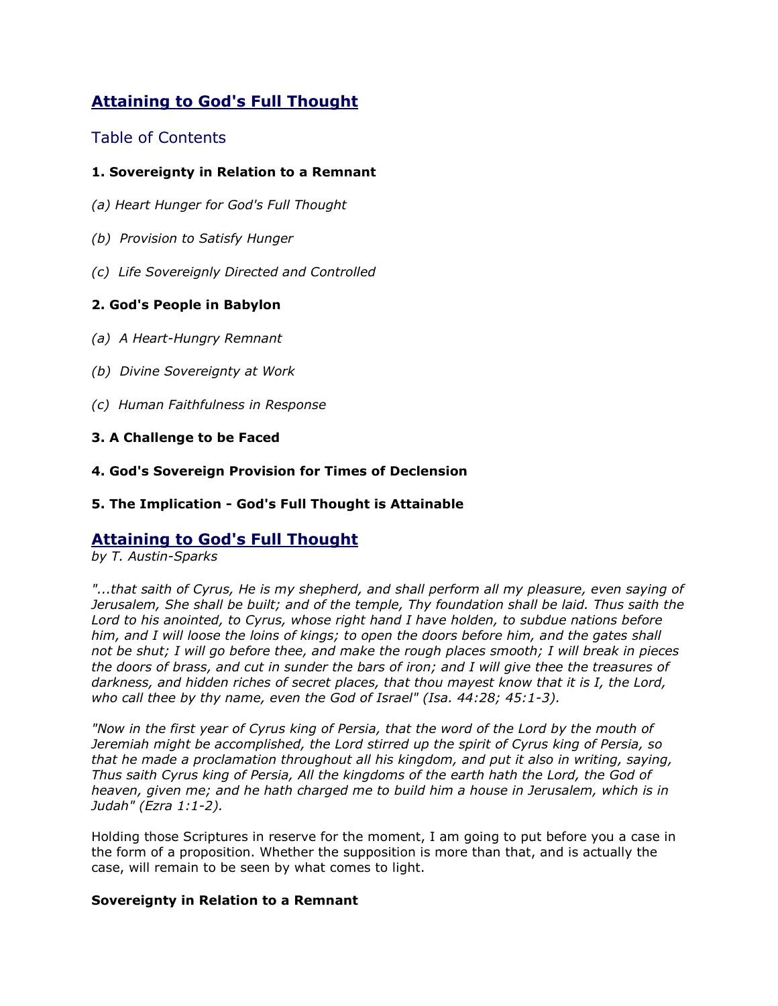# **Attaining to God's Full Thought**

# Table of Contents

# **1. Sovereignty in Relation to a Remnant**

- *(a) Heart Hunger for God's Full Thought*
- *(b) Provision to Satisfy Hunger*
- *(c) Life Sovereignly Directed and Controlled*

# **2. God's People in Babylon**

- *(a) A Heart-Hungry Remnant*
- *(b) Divine Sovereignty at Work*
- *(c) Human Faithfulness in Response*

#### **3. A Challenge to be Faced**

**4. God's Sovereign Provision for Times of Declension**

# **5. The Implication - God's Full Thought is Attainable**

# **Attaining to God's Full Thought**

*by T. Austin-Sparks*

*"...that saith of Cyrus, He is my shepherd, and shall perform all my pleasure, even saying of Jerusalem, She shall be built; and of the temple, Thy foundation shall be laid. Thus saith the Lord to his anointed, to Cyrus, whose right hand I have holden, to subdue nations before him, and I will loose the loins of kings; to open the doors before him, and the gates shall not be shut; I will go before thee, and make the rough places smooth; I will break in pieces the doors of brass, and cut in sunder the bars of iron; and I will give thee the treasures of darkness, and hidden riches of secret places, that thou mayest know that it is I, the Lord, who call thee by thy name, even the God of Israel" (Isa. 44:28; 45:1-3).*

*"Now in the first year of Cyrus king of Persia, that the word of the Lord by the mouth of Jeremiah might be accomplished, the Lord stirred up the spirit of Cyrus king of Persia, so that he made a proclamation throughout all his kingdom, and put it also in writing, saying, Thus saith Cyrus king of Persia, All the kingdoms of the earth hath the Lord, the God of heaven, given me; and he hath charged me to build him a house in Jerusalem, which is in Judah" (Ezra 1:1-2).*

Holding those Scriptures in reserve for the moment, I am going to put before you a case in the form of a proposition. Whether the supposition is more than that, and is actually the case, will remain to be seen by what comes to light.

# **Sovereignty in Relation to a Remnant**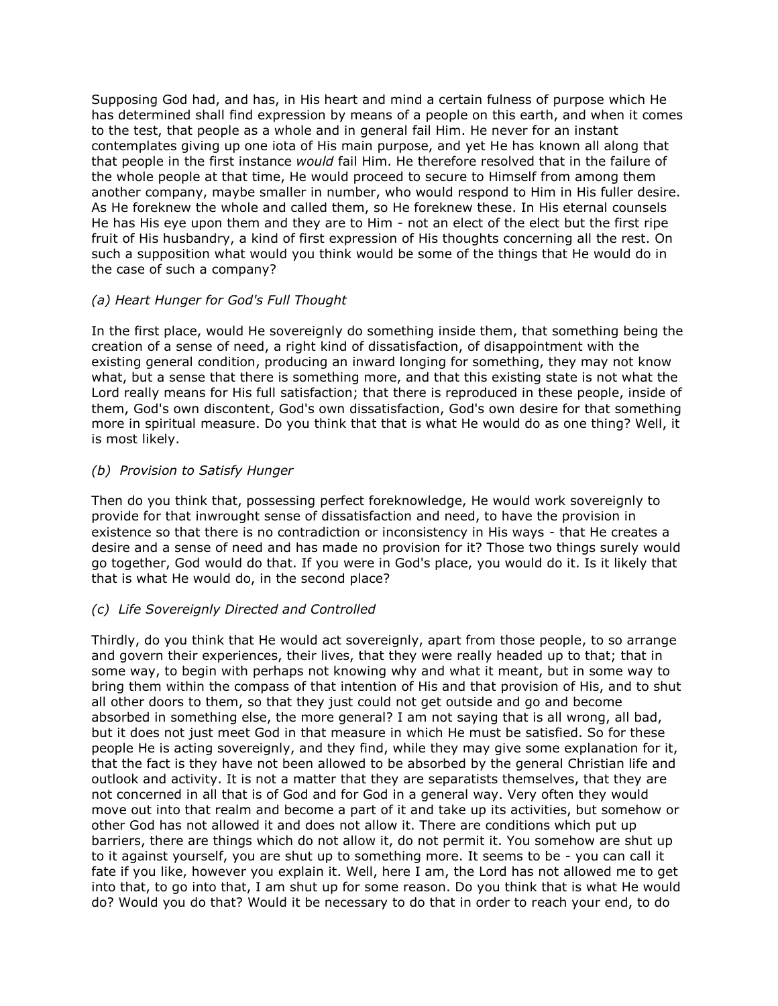Supposing God had, and has, in His heart and mind a certain fulness of purpose which He has determined shall find expression by means of a people on this earth, and when it comes to the test, that people as a whole and in general fail Him. He never for an instant contemplates giving up one iota of His main purpose, and yet He has known all along that that people in the first instance *would* fail Him. He therefore resolved that in the failure of the whole people at that time, He would proceed to secure to Himself from among them another company, maybe smaller in number, who would respond to Him in His fuller desire. As He foreknew the whole and called them, so He foreknew these. In His eternal counsels He has His eye upon them and they are to Him - not an elect of the elect but the first ripe fruit of His husbandry, a kind of first expression of His thoughts concerning all the rest. On such a supposition what would you think would be some of the things that He would do in the case of such a company?

#### *(a) Heart Hunger for God's Full Thought*

In the first place, would He sovereignly do something inside them, that something being the creation of a sense of need, a right kind of dissatisfaction, of disappointment with the existing general condition, producing an inward longing for something, they may not know what, but a sense that there is something more, and that this existing state is not what the Lord really means for His full satisfaction; that there is reproduced in these people, inside of them, God's own discontent, God's own dissatisfaction, God's own desire for that something more in spiritual measure. Do you think that that is what He would do as one thing? Well, it is most likely.

#### *(b) Provision to Satisfy Hunger*

Then do you think that, possessing perfect foreknowledge, He would work sovereignly to provide for that inwrought sense of dissatisfaction and need, to have the provision in existence so that there is no contradiction or inconsistency in His ways - that He creates a desire and a sense of need and has made no provision for it? Those two things surely would go together, God would do that. If you were in God's place, you would do it. Is it likely that that is what He would do, in the second place?

# *(c) Life Sovereignly Directed and Controlled*

Thirdly, do you think that He would act sovereignly, apart from those people, to so arrange and govern their experiences, their lives, that they were really headed up to that; that in some way, to begin with perhaps not knowing why and what it meant, but in some way to bring them within the compass of that intention of His and that provision of His, and to shut all other doors to them, so that they just could not get outside and go and become absorbed in something else, the more general? I am not saying that is all wrong, all bad, but it does not just meet God in that measure in which He must be satisfied. So for these people He is acting sovereignly, and they find, while they may give some explanation for it, that the fact is they have not been allowed to be absorbed by the general Christian life and outlook and activity. It is not a matter that they are separatists themselves, that they are not concerned in all that is of God and for God in a general way. Very often they would move out into that realm and become a part of it and take up its activities, but somehow or other God has not allowed it and does not allow it. There are conditions which put up barriers, there are things which do not allow it, do not permit it. You somehow are shut up to it against yourself, you are shut up to something more. It seems to be - you can call it fate if you like, however you explain it. Well, here I am, the Lord has not allowed me to get into that, to go into that, I am shut up for some reason. Do you think that is what He would do? Would you do that? Would it be necessary to do that in order to reach your end, to do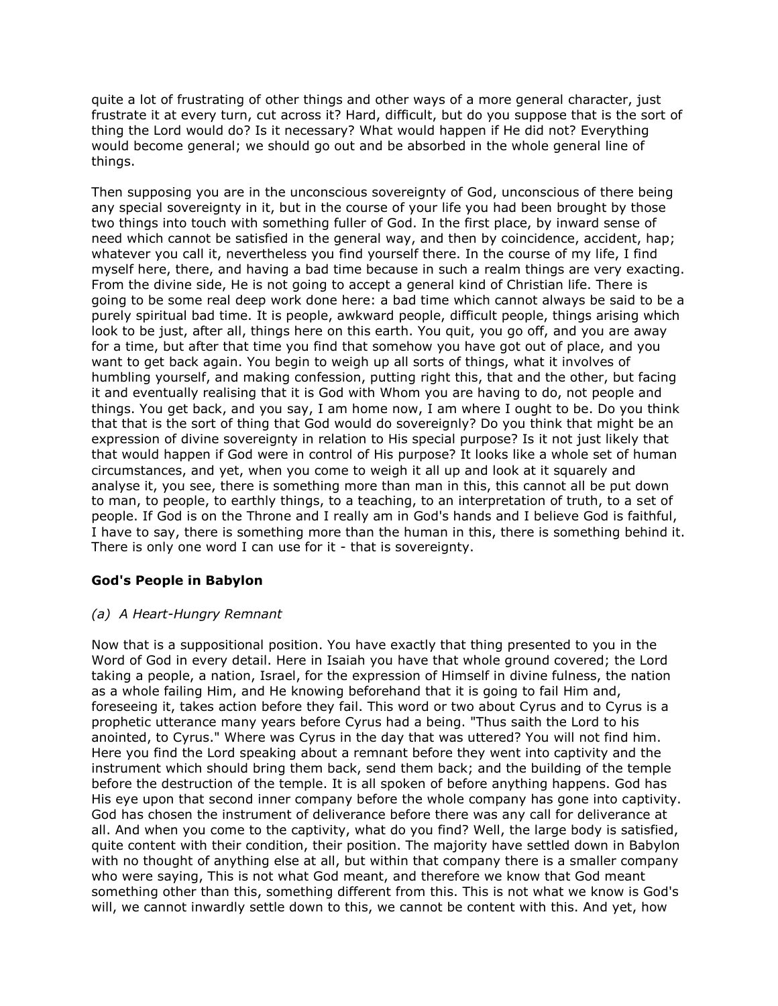quite a lot of frustrating of other things and other ways of a more general character, just frustrate it at every turn, cut across it? Hard, difficult, but do you suppose that is the sort of thing the Lord would do? Is it necessary? What would happen if He did not? Everything would become general; we should go out and be absorbed in the whole general line of things.

Then supposing you are in the unconscious sovereignty of God, unconscious of there being any special sovereignty in it, but in the course of your life you had been brought by those two things into touch with something fuller of God. In the first place, by inward sense of need which cannot be satisfied in the general way, and then by coincidence, accident, hap; whatever you call it, nevertheless you find yourself there. In the course of my life, I find myself here, there, and having a bad time because in such a realm things are very exacting. From the divine side, He is not going to accept a general kind of Christian life. There is going to be some real deep work done here: a bad time which cannot always be said to be a purely spiritual bad time. It is people, awkward people, difficult people, things arising which look to be just, after all, things here on this earth. You quit, you go off, and you are away for a time, but after that time you find that somehow you have got out of place, and you want to get back again. You begin to weigh up all sorts of things, what it involves of humbling yourself, and making confession, putting right this, that and the other, but facing it and eventually realising that it is God with Whom you are having to do, not people and things. You get back, and you say, I am home now, I am where I ought to be. Do you think that that is the sort of thing that God would do sovereignly? Do you think that might be an expression of divine sovereignty in relation to His special purpose? Is it not just likely that that would happen if God were in control of His purpose? It looks like a whole set of human circumstances, and yet, when you come to weigh it all up and look at it squarely and analyse it, you see, there is something more than man in this, this cannot all be put down to man, to people, to earthly things, to a teaching, to an interpretation of truth, to a set of people. If God is on the Throne and I really am in God's hands and I believe God is faithful, I have to say, there is something more than the human in this, there is something behind it. There is only one word I can use for it - that is sovereignty.

# **God's People in Babylon**

# *(a) A Heart-Hungry Remnant*

Now that is a suppositional position. You have exactly that thing presented to you in the Word of God in every detail. Here in Isaiah you have that whole ground covered; the Lord taking a people, a nation, Israel, for the expression of Himself in divine fulness, the nation as a whole failing Him, and He knowing beforehand that it is going to fail Him and, foreseeing it, takes action before they fail. This word or two about Cyrus and to Cyrus is a prophetic utterance many years before Cyrus had a being. "Thus saith the Lord to his anointed, to Cyrus." Where was Cyrus in the day that was uttered? You will not find him. Here you find the Lord speaking about a remnant before they went into captivity and the instrument which should bring them back, send them back; and the building of the temple before the destruction of the temple. It is all spoken of before anything happens. God has His eye upon that second inner company before the whole company has gone into captivity. God has chosen the instrument of deliverance before there was any call for deliverance at all. And when you come to the captivity, what do you find? Well, the large body is satisfied, quite content with their condition, their position. The majority have settled down in Babylon with no thought of anything else at all, but within that company there is a smaller company who were saying, This is not what God meant, and therefore we know that God meant something other than this, something different from this. This is not what we know is God's will, we cannot inwardly settle down to this, we cannot be content with this. And yet, how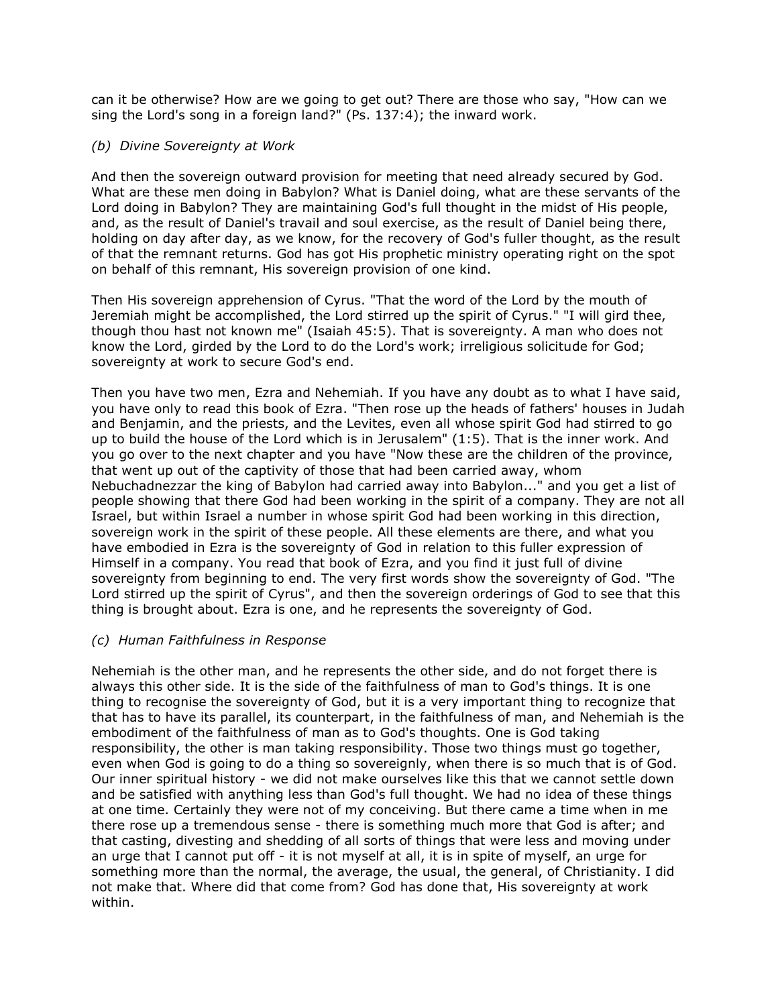can it be otherwise? How are we going to get out? There are those who say, "How can we sing the Lord's song in a foreign land?" (Ps. 137:4); the inward work.

#### *(b) Divine Sovereignty at Work*

And then the sovereign outward provision for meeting that need already secured by God. What are these men doing in Babylon? What is Daniel doing, what are these servants of the Lord doing in Babylon? They are maintaining God's full thought in the midst of His people, and, as the result of Daniel's travail and soul exercise, as the result of Daniel being there, holding on day after day, as we know, for the recovery of God's fuller thought, as the result of that the remnant returns. God has got His prophetic ministry operating right on the spot on behalf of this remnant, His sovereign provision of one kind.

Then His sovereign apprehension of Cyrus. "That the word of the Lord by the mouth of Jeremiah might be accomplished, the Lord stirred up the spirit of Cyrus." "I will gird thee, though thou hast not known me" (Isaiah 45:5). That is sovereignty. A man who does not know the Lord, girded by the Lord to do the Lord's work; irreligious solicitude for God; sovereignty at work to secure God's end.

Then you have two men, Ezra and Nehemiah. If you have any doubt as to what I have said, you have only to read this book of Ezra. "Then rose up the heads of fathers' houses in Judah and Benjamin, and the priests, and the Levites, even all whose spirit God had stirred to go up to build the house of the Lord which is in Jerusalem" (1:5). That is the inner work. And you go over to the next chapter and you have "Now these are the children of the province, that went up out of the captivity of those that had been carried away, whom Nebuchadnezzar the king of Babylon had carried away into Babylon..." and you get a list of people showing that there God had been working in the spirit of a company. They are not all Israel, but within Israel a number in whose spirit God had been working in this direction, sovereign work in the spirit of these people. All these elements are there, and what you have embodied in Ezra is the sovereignty of God in relation to this fuller expression of Himself in a company. You read that book of Ezra, and you find it just full of divine sovereignty from beginning to end. The very first words show the sovereignty of God. "The Lord stirred up the spirit of Cyrus", and then the sovereign orderings of God to see that this thing is brought about. Ezra is one, and he represents the sovereignty of God.

#### *(c) Human Faithfulness in Response*

Nehemiah is the other man, and he represents the other side, and do not forget there is always this other side. It is the side of the faithfulness of man to God's things. It is one thing to recognise the sovereignty of God, but it is a very important thing to recognize that that has to have its parallel, its counterpart, in the faithfulness of man, and Nehemiah is the embodiment of the faithfulness of man as to God's thoughts. One is God taking responsibility, the other is man taking responsibility. Those two things must go together, even when God is going to do a thing so sovereignly, when there is so much that is of God. Our inner spiritual history - we did not make ourselves like this that we cannot settle down and be satisfied with anything less than God's full thought. We had no idea of these things at one time. Certainly they were not of my conceiving. But there came a time when in me there rose up a tremendous sense - there is something much more that God is after; and that casting, divesting and shedding of all sorts of things that were less and moving under an urge that I cannot put off - it is not myself at all, it is in spite of myself, an urge for something more than the normal, the average, the usual, the general, of Christianity. I did not make that. Where did that come from? God has done that, His sovereignty at work within.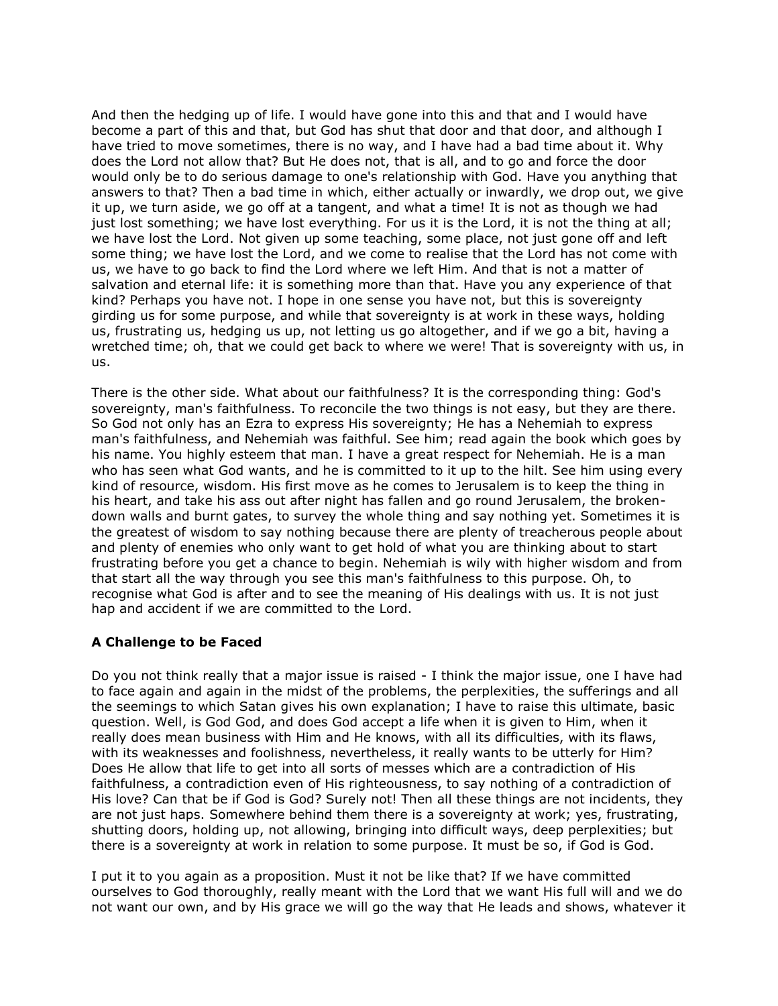And then the hedging up of life. I would have gone into this and that and I would have become a part of this and that, but God has shut that door and that door, and although I have tried to move sometimes, there is no way, and I have had a bad time about it. Why does the Lord not allow that? But He does not, that is all, and to go and force the door would only be to do serious damage to one's relationship with God. Have you anything that answers to that? Then a bad time in which, either actually or inwardly, we drop out, we give it up, we turn aside, we go off at a tangent, and what a time! It is not as though we had just lost something; we have lost everything. For us it is the Lord, it is not the thing at all; we have lost the Lord. Not given up some teaching, some place, not just gone off and left some thing; we have lost the Lord, and we come to realise that the Lord has not come with us, we have to go back to find the Lord where we left Him. And that is not a matter of salvation and eternal life: it is something more than that. Have you any experience of that kind? Perhaps you have not. I hope in one sense you have not, but this is sovereignty girding us for some purpose, and while that sovereignty is at work in these ways, holding us, frustrating us, hedging us up, not letting us go altogether, and if we go a bit, having a wretched time; oh, that we could get back to where we were! That is sovereignty with us, in us.

There is the other side. What about our faithfulness? It is the corresponding thing: God's sovereignty, man's faithfulness. To reconcile the two things is not easy, but they are there. So God not only has an Ezra to express His sovereignty; He has a Nehemiah to express man's faithfulness, and Nehemiah was faithful. See him; read again the book which goes by his name. You highly esteem that man. I have a great respect for Nehemiah. He is a man who has seen what God wants, and he is committed to it up to the hilt. See him using every kind of resource, wisdom. His first move as he comes to Jerusalem is to keep the thing in his heart, and take his ass out after night has fallen and go round Jerusalem, the brokendown walls and burnt gates, to survey the whole thing and say nothing yet. Sometimes it is the greatest of wisdom to say nothing because there are plenty of treacherous people about and plenty of enemies who only want to get hold of what you are thinking about to start frustrating before you get a chance to begin. Nehemiah is wily with higher wisdom and from that start all the way through you see this man's faithfulness to this purpose. Oh, to recognise what God is after and to see the meaning of His dealings with us. It is not just hap and accident if we are committed to the Lord.

# **A Challenge to be Faced**

Do you not think really that a major issue is raised - I think the major issue, one I have had to face again and again in the midst of the problems, the perplexities, the sufferings and all the seemings to which Satan gives his own explanation; I have to raise this ultimate, basic question. Well, is God God, and does God accept a life when it is given to Him, when it really does mean business with Him and He knows, with all its difficulties, with its flaws, with its weaknesses and foolishness, nevertheless, it really wants to be utterly for Him? Does He allow that life to get into all sorts of messes which are a contradiction of His faithfulness, a contradiction even of His righteousness, to say nothing of a contradiction of His love? Can that be if God is God? Surely not! Then all these things are not incidents, they are not just haps. Somewhere behind them there is a sovereignty at work; yes, frustrating, shutting doors, holding up, not allowing, bringing into difficult ways, deep perplexities; but there is a sovereignty at work in relation to some purpose. It must be so, if God is God.

I put it to you again as a proposition. Must it not be like that? If we have committed ourselves to God thoroughly, really meant with the Lord that we want His full will and we do not want our own, and by His grace we will go the way that He leads and shows, whatever it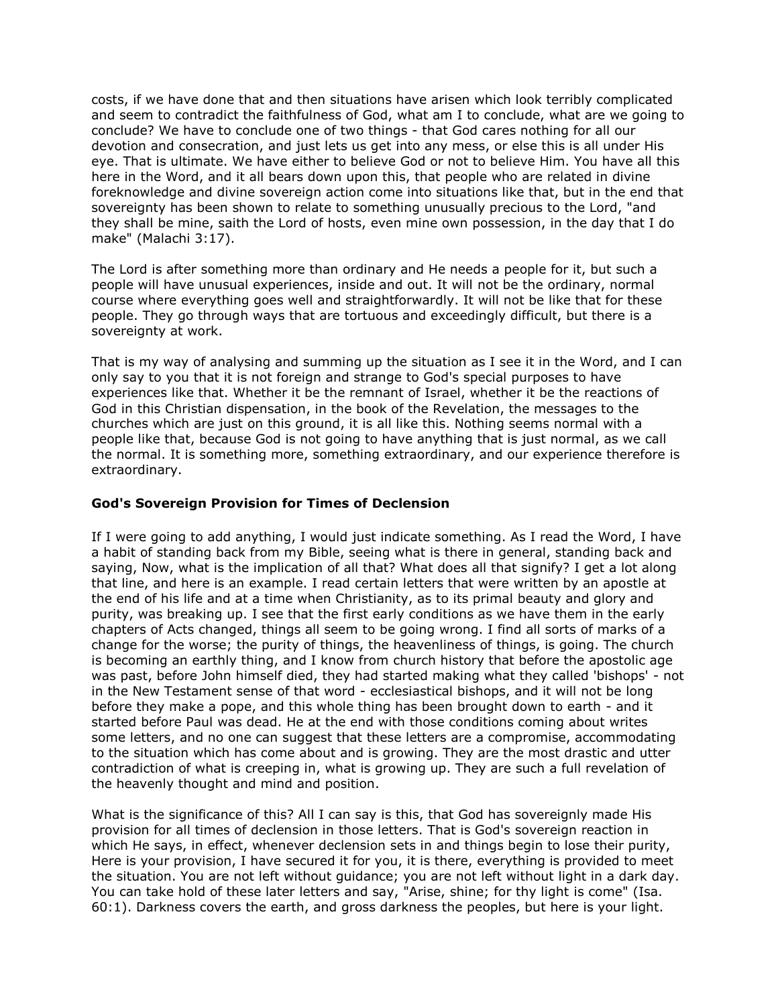costs, if we have done that and then situations have arisen which look terribly complicated and seem to contradict the faithfulness of God, what am I to conclude, what are we going to conclude? We have to conclude one of two things - that God cares nothing for all our devotion and consecration, and just lets us get into any mess, or else this is all under His eye. That is ultimate. We have either to believe God or not to believe Him. You have all this here in the Word, and it all bears down upon this, that people who are related in divine foreknowledge and divine sovereign action come into situations like that, but in the end that sovereignty has been shown to relate to something unusually precious to the Lord, "and they shall be mine, saith the Lord of hosts, even mine own possession, in the day that I do make" (Malachi 3:17).

The Lord is after something more than ordinary and He needs a people for it, but such a people will have unusual experiences, inside and out. It will not be the ordinary, normal course where everything goes well and straightforwardly. It will not be like that for these people. They go through ways that are tortuous and exceedingly difficult, but there is a sovereignty at work.

That is my way of analysing and summing up the situation as I see it in the Word, and I can only say to you that it is not foreign and strange to God's special purposes to have experiences like that. Whether it be the remnant of Israel, whether it be the reactions of God in this Christian dispensation, in the book of the Revelation, the messages to the churches which are just on this ground, it is all like this. Nothing seems normal with a people like that, because God is not going to have anything that is just normal, as we call the normal. It is something more, something extraordinary, and our experience therefore is extraordinary.

#### **God's Sovereign Provision for Times of Declension**

If I were going to add anything, I would just indicate something. As I read the Word, I have a habit of standing back from my Bible, seeing what is there in general, standing back and saying, Now, what is the implication of all that? What does all that signify? I get a lot along that line, and here is an example. I read certain letters that were written by an apostle at the end of his life and at a time when Christianity, as to its primal beauty and glory and purity, was breaking up. I see that the first early conditions as we have them in the early chapters of Acts changed, things all seem to be going wrong. I find all sorts of marks of a change for the worse; the purity of things, the heavenliness of things, is going. The church is becoming an earthly thing, and I know from church history that before the apostolic age was past, before John himself died, they had started making what they called 'bishops' - not in the New Testament sense of that word - ecclesiastical bishops, and it will not be long before they make a pope, and this whole thing has been brought down to earth - and it started before Paul was dead. He at the end with those conditions coming about writes some letters, and no one can suggest that these letters are a compromise, accommodating to the situation which has come about and is growing. They are the most drastic and utter contradiction of what is creeping in, what is growing up. They are such a full revelation of the heavenly thought and mind and position.

What is the significance of this? All I can say is this, that God has sovereignly made His provision for all times of declension in those letters. That is God's sovereign reaction in which He says, in effect, whenever declension sets in and things begin to lose their purity, Here is your provision, I have secured it for you, it is there, everything is provided to meet the situation. You are not left without guidance; you are not left without light in a dark day. You can take hold of these later letters and say, "Arise, shine; for thy light is come" (Isa. 60:1). Darkness covers the earth, and gross darkness the peoples, but here is your light.